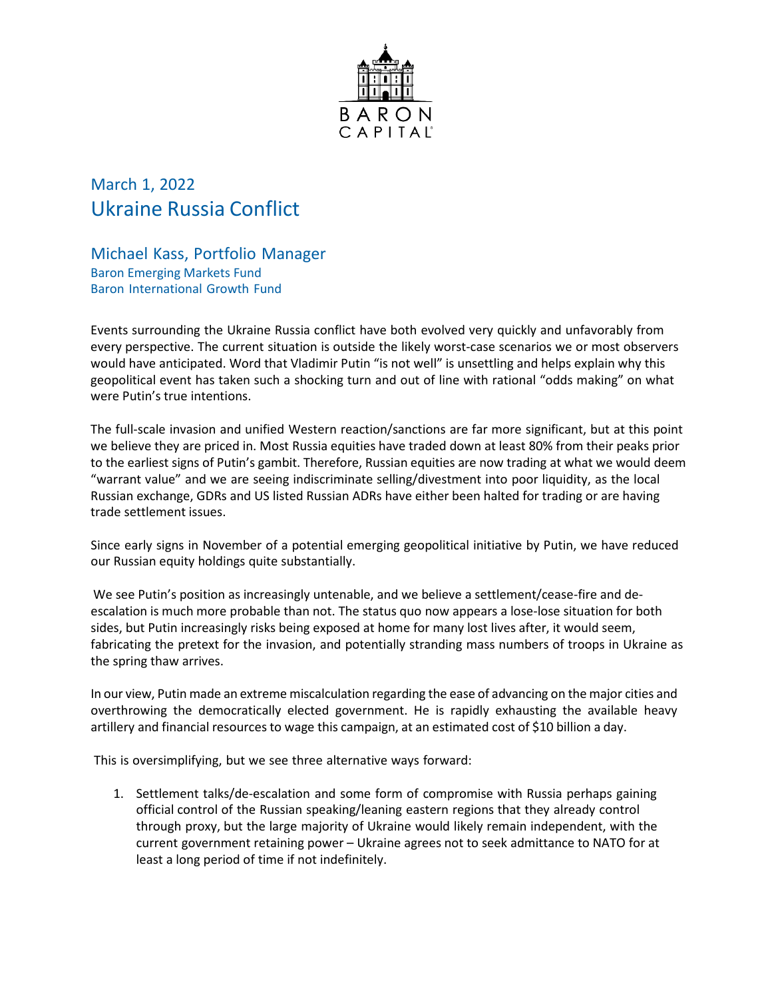

## March 1, 2022 Ukraine Russia Conflict

Michael Kass, Portfolio Manager Baron Emerging Markets Fund Baron International Growth Fund

Events surrounding the Ukraine Russia conflict have both evolved very quickly and unfavorably from every perspective. The current situation is outside the likely worst-case scenarios we or most observers would have anticipated. Word that Vladimir Putin "is not well" is unsettling and helps explain why this geopolitical event has taken such a shocking turn and out of line with rational "odds making" on what were Putin's true intentions.

The full-scale invasion and unified Western reaction/sanctions are far more significant, but at this point we believe they are priced in. Most Russia equities have traded down at least 80% from their peaks prior to the earliest signs of Putin's gambit. Therefore, Russian equities are now trading at what we would deem "warrant value" and we are seeing indiscriminate selling/divestment into poor liquidity, as the local Russian exchange, GDRs and US listed Russian ADRs have either been halted for trading or are having trade settlement issues.

Since early signs in November of a potential emerging geopolitical initiative by Putin, we have reduced our Russian equity holdings quite substantially.

We see Putin's position as increasingly untenable, and we believe a settlement/cease-fire and deescalation is much more probable than not. The status quo now appears a lose-lose situation for both sides, but Putin increasingly risks being exposed at home for many lost lives after, it would seem, fabricating the pretext for the invasion, and potentially stranding mass numbers of troops in Ukraine as the spring thaw arrives.

In our view, Putin made an extreme miscalculation regarding the ease of advancing on the major cities and overthrowing the democratically elected government. He is rapidly exhausting the available heavy artillery and financial resources to wage this campaign, at an estimated cost of \$10 billion a day.

This is oversimplifying, but we see three alternative ways forward:

1. Settlement talks/de-escalation and some form of compromise with Russia perhaps gaining official control of the Russian speaking/leaning eastern regions that they already control through proxy, but the large majority of Ukraine would likely remain independent, with the current government retaining power – Ukraine agrees not to seek admittance to NATO for at least a long period of time if not indefinitely.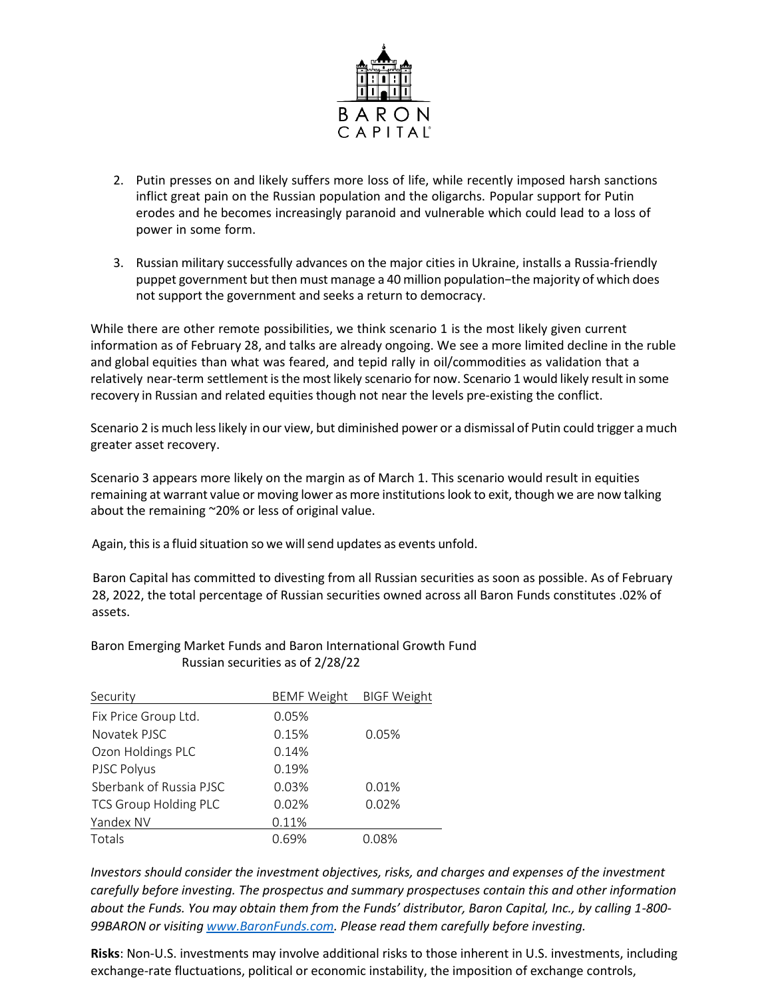

- 2. Putin presses on and likely suffers more loss of life, while recently imposed harsh sanctions inflict great pain on the Russian population and the oligarchs. Popular support for Putin erodes and he becomes increasingly paranoid and vulnerable which could lead to a loss of power in some form.
- 3. Russian military successfully advances on the major cities in Ukraine, installs a Russia-friendly puppet government but then must manage a 40 million population−the majority of which does not support the government and seeks a return to democracy.

While there are other remote possibilities, we think scenario 1 is the most likely given current information as of February 28, and talks are already ongoing. We see a more limited decline in the ruble and global equities than what was feared, and tepid rally in oil/commodities as validation that a relatively near-term settlement isthe most likely scenario for now. Scenario 1 would likely result in some recovery in Russian and related equities though not near the levels pre-existing the conflict.

Scenario 2 is much lesslikely in our view, but diminished power or a dismissal of Putin could trigger a much greater asset recovery.

Scenario 3 appears more likely on the margin as of March 1. This scenario would result in equities remaining at warrant value or moving lower as more institutions look to exit, though we are now talking about the remaining ~20% or less of original value.

Again, this is a fluid situation so we will send updates as events unfold.

 Baron Capital has committed to divesting from all Russian securities as soon as possible. As of February 28, 2022, the total percentage of Russian securities owned across all Baron Funds constitutes .02% of assets.

| Security                     | <b>BEMF Weight</b> | <b>BIGF Weight</b> |
|------------------------------|--------------------|--------------------|
| Fix Price Group Ltd.         | 0.05%              |                    |
| Novatek PISC                 | 0.15%              | 0.05%              |
| Ozon Holdings PLC            | 0.14%              |                    |
| PJSC Polyus                  | 0.19%              |                    |
| Sberbank of Russia PJSC      | 0.03%              | 0.01%              |
| <b>TCS Group Holding PLC</b> | 0.02%              | 0.02%              |
| Yandex NV                    | 0.11%              |                    |
| Totals                       | 0.69%              | 0.08%              |

## Baron Emerging Market Funds and Baron International Growth Fund Russian securities as of 2/28/22

*Investors should consider the investment objectives, risks, and charges and expenses of the investment carefully before investing. The prospectus and summary prospectuses contain this and other information about the Funds. You may obtain them from the Funds' distributor, Baron Capital, Inc., by calling 1-800- 99BARON or visiting [www.BaronFunds.com.](http://www.baronfunds.com/) Please read them carefully before investing.*

**Risks**: Non-U.S. investments may involve additional risks to those inherent in U.S. investments, including exchange-rate fluctuations, political or economic instability, the imposition of exchange controls,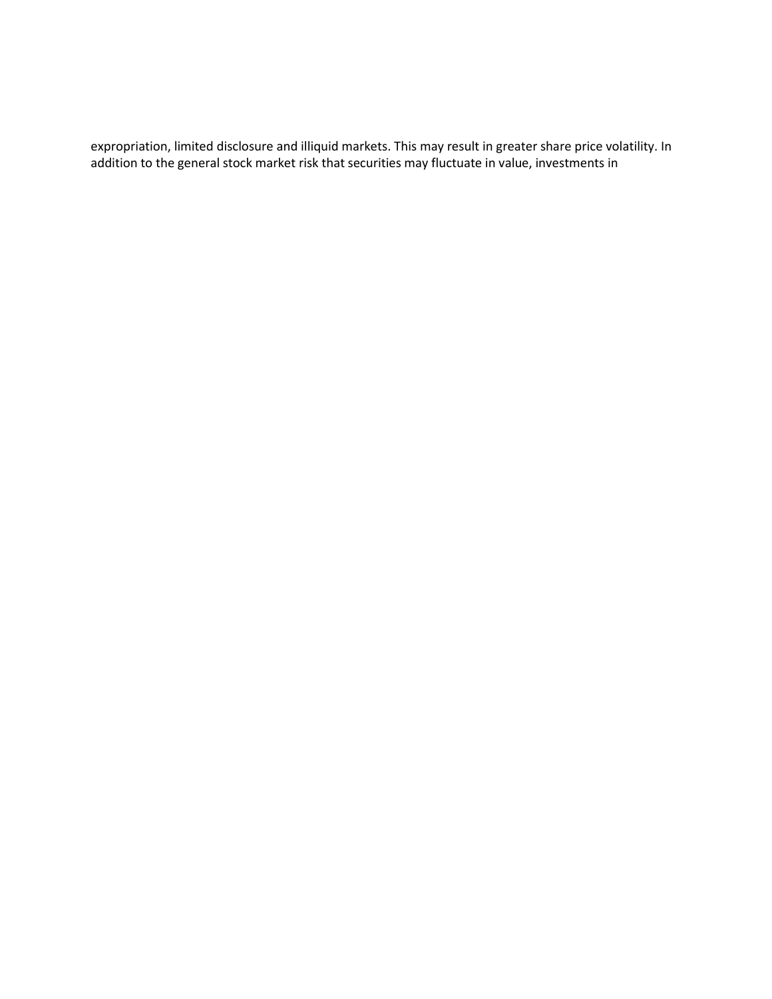expropriation, limited disclosure and illiquid markets. This may result in greater share price volatility. In addition to the general stock market risk that securities may fluctuate in value, investments in